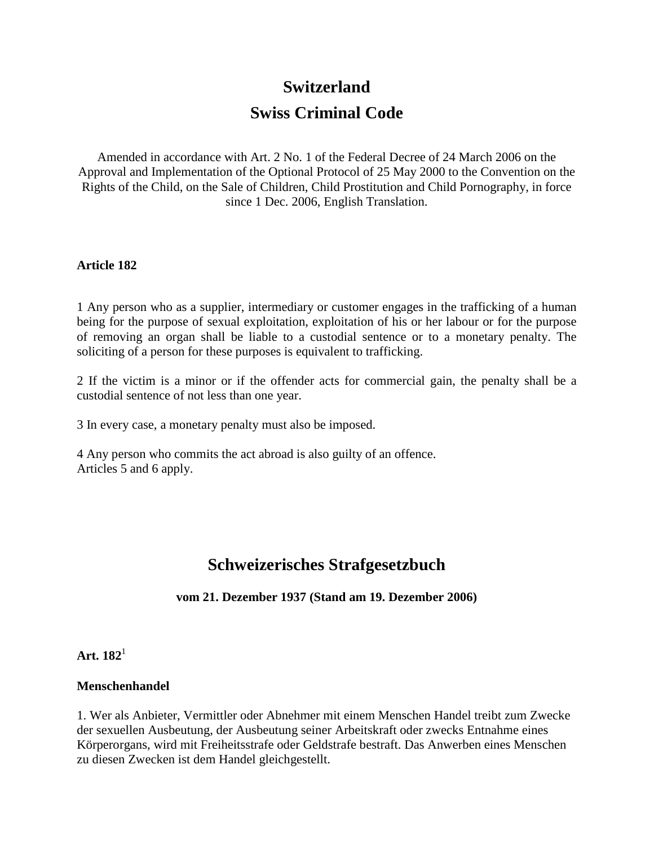# **Switzerland Swiss Criminal Code**

Amended in accordance with Art. 2 No. 1 of the Federal Decree of 24 March 2006 on the Approval and Implementation of the Optional Protocol of 25 May 2000 to the Convention on the Rights of the Child, on the Sale of Children, Child Prostitution and Child Pornography, in force since 1 Dec. 2006, English Translation.

### **Article 182**

1 Any person who as a supplier, intermediary or customer engages in the trafficking of a human being for the purpose of sexual exploitation, exploitation of his or her labour or for the purpose of removing an organ shall be liable to a custodial sentence or to a monetary penalty. The soliciting of a person for these purposes is equivalent to trafficking.

2 If the victim is a minor or if the offender acts for commercial gain, the penalty shall be a custodial sentence of not less than one year.

3 In every case, a monetary penalty must also be imposed.

4 Any person who commits the act abroad is also guilty of an offence. Articles 5 and 6 apply.

# **Schweizerisches Strafgesetzbuch**

### **vom 21. Dezember 1937 (Stand am 19. Dezember 2006)**

**Art. 182**<sup>1</sup>

### **Menschenhandel**

1. Wer als Anbieter, Vermittler oder Abnehmer mit einem Menschen Handel treibt zum Zwecke der sexuellen Ausbeutung, der Ausbeutung seiner Arbeitskraft oder zwecks Entnahme eines Körperorgans, wird mit Freiheitsstrafe oder Geldstrafe bestraft. Das Anwerben eines Menschen zu diesen Zwecken ist dem Handel gleichgestellt.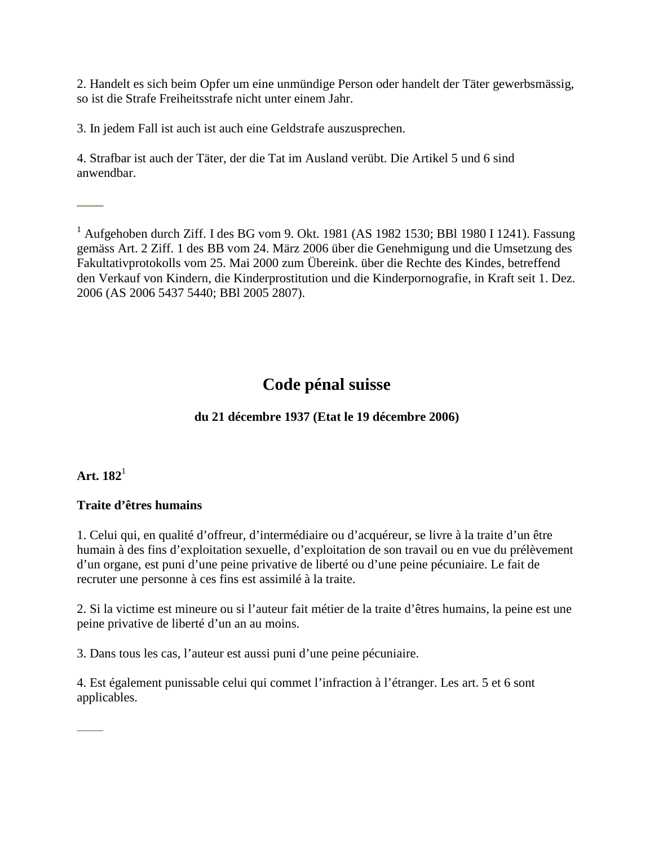2. Handelt es sich beim Opfer um eine unmündige Person oder handelt der Täter gewerbsmässig, so ist die Strafe Freiheitsstrafe nicht unter einem Jahr.

3. In jedem Fall ist auch ist auch eine Geldstrafe auszusprechen.

4. Strafbar ist auch der Täter, der die Tat im Ausland verübt. Die Artikel 5 und 6 sind anwendbar.

<sup>1</sup> Aufgehoben durch Ziff. I des BG vom 9. Okt. 1981 (AS 1982 1530; BBl 1980 I 1241). Fassung gemäss Art. 2 Ziff. 1 des BB vom 24. März 2006 über die Genehmigung und die Umsetzung des Fakultativprotokolls vom 25. Mai 2000 zum Übereink. über die Rechte des Kindes, betreffend den Verkauf von Kindern, die Kinderprostitution und die Kinderpornografie, in Kraft seit 1. Dez. 2006 (AS 2006 5437 5440; BBl 2005 2807).

# **Code pénal suisse**

# **du 21 décembre 1937 (Etat le 19 décembre 2006)**

## **Art. 182**<sup>1</sup>

## **Traite d'êtres humains**

1. Celui qui, en qualité d'offreur, d'intermédiaire ou d'acquéreur, se livre à la traite d'un être humain à des fins d'exploitation sexuelle, d'exploitation de son travail ou en vue du prélèvement d'un organe, est puni d'une peine privative de liberté ou d'une peine pécuniaire. Le fait de recruter une personne à ces fins est assimilé à la traite.

2. Si la victime est mineure ou si l'auteur fait métier de la traite d'êtres humains, la peine est une peine privative de liberté d'un an au moins.

3. Dans tous les cas, l'auteur est aussi puni d'une peine pécuniaire.

4. Est également punissable celui qui commet l'infraction à l'étranger. Les art. 5 et 6 sont applicables.